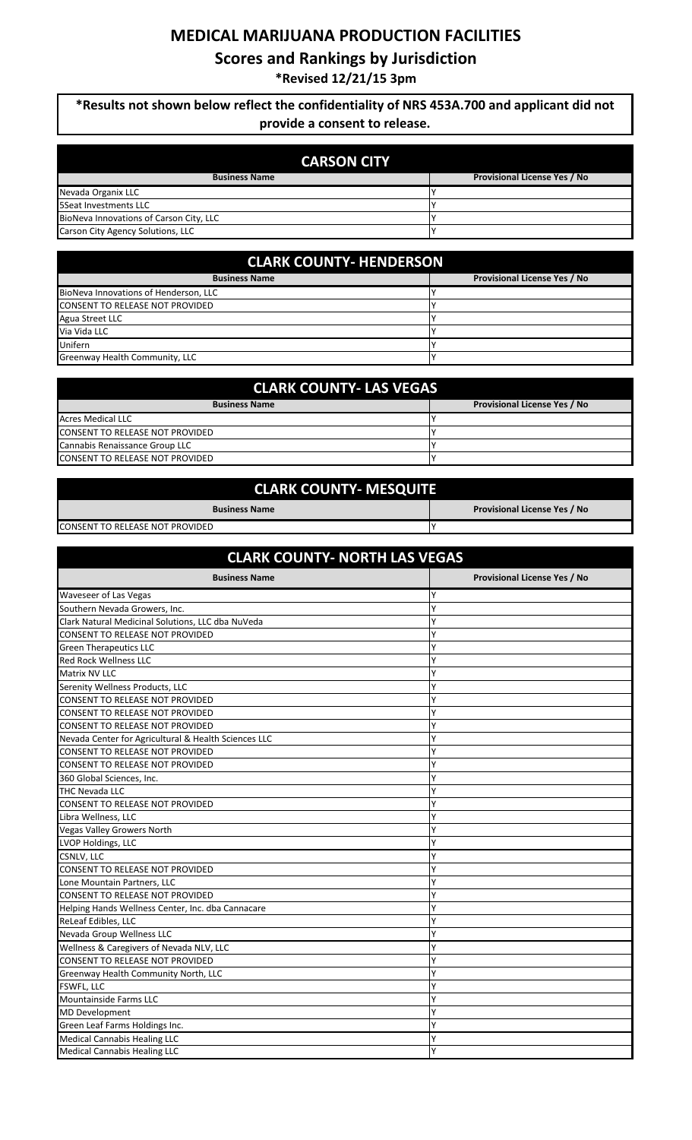## **MEDICAL MARIJUANA PRODUCTION FACILITIES**

**Scores and Rankings by Jurisdiction**

**\*Revised 12/21/15 3pm**

**\*Results not shown below reflect the confidentiality of NRS 453A.700 and applicant did not provide a consent to release.**

| <b>CARSON CITY</b>                      |                                     |  |
|-----------------------------------------|-------------------------------------|--|
| <b>Business Name</b>                    | <b>Provisional License Yes / No</b> |  |
| Nevada Organix LLC                      |                                     |  |
| 5 Seat Investments LLC                  |                                     |  |
| BioNeva Innovations of Carson City, LLC |                                     |  |
| Carson City Agency Solutions, LLC       |                                     |  |

| <b>CLARK COUNTY- HENDERSON</b>         |                                     |  |
|----------------------------------------|-------------------------------------|--|
| <b>Business Name</b>                   | <b>Provisional License Yes / No</b> |  |
| BioNeva Innovations of Henderson, LLC  |                                     |  |
| <b>CONSENT TO RELEASE NOT PROVIDED</b> |                                     |  |
| Agua Street LLC                        |                                     |  |
| Via Vida LLC                           |                                     |  |
| Unifern                                |                                     |  |
| Greenway Health Community, LLC         |                                     |  |

| <b>CLARK COUNTY- LAS VEGAS</b>  |                                     |  |
|---------------------------------|-------------------------------------|--|
| <b>Business Name</b>            | <b>Provisional License Yes / No</b> |  |
| <b>Acres Medical LLC</b>        |                                     |  |
| CONSENT TO RELEASE NOT PROVIDED |                                     |  |
| Cannabis Renaissance Group LLC  |                                     |  |
| CONSENT TO RELEASE NOT PROVIDED |                                     |  |

| <b>CLARK COUNTY- MESQUITE</b>   |                                     |
|---------------------------------|-------------------------------------|
| <b>Business Name</b>            | <b>Provisional License Yes / No</b> |
| CONSENT TO RELEASE NOT PROVIDED |                                     |

| <b>CLARK COUNTY- NORTH LAS VEGAS</b>                 |                                     |
|------------------------------------------------------|-------------------------------------|
| <b>Business Name</b>                                 | <b>Provisional License Yes / No</b> |
| Waveseer of Las Vegas                                | Υ                                   |
| Southern Nevada Growers, Inc.                        | Υ                                   |
| Clark Natural Medicinal Solutions, LLC dba NuVeda    | Υ                                   |
| <b>CONSENT TO RELEASE NOT PROVIDED</b>               | Y                                   |
| <b>Green Therapeutics LLC</b>                        | Υ                                   |
| <b>Red Rock Wellness LLC</b>                         | γ                                   |
| Matrix NV LLC                                        | Y                                   |
| Serenity Wellness Products, LLC                      | Y                                   |
| CONSENT TO RELEASE NOT PROVIDED                      | Y                                   |
| <b>CONSENT TO RELEASE NOT PROVIDED</b>               | Υ                                   |
| <b>CONSENT TO RELEASE NOT PROVIDED</b>               | Υ                                   |
| Nevada Center for Agricultural & Health Sciences LLC | Y                                   |
| <b>CONSENT TO RELEASE NOT PROVIDED</b>               | Y                                   |
| <b>CONSENT TO RELEASE NOT PROVIDED</b>               | Y                                   |
| 360 Global Sciences, Inc.                            | Υ                                   |
| THC Nevada LLC                                       | γ                                   |
| CONSENT TO RELEASE NOT PROVIDED                      | Y                                   |
| Libra Wellness, LLC                                  | Y                                   |
| <b>Vegas Valley Growers North</b>                    | Y                                   |
| LVOP Holdings, LLC                                   | γ                                   |
| CSNLV, LLC                                           | Υ                                   |
| CONSENT TO RELEASE NOT PROVIDED                      | Υ                                   |
| Lone Mountain Partners, LLC                          | Υ                                   |
| <b>CONSENT TO RELEASE NOT PROVIDED</b>               | Y                                   |
| Helping Hands Wellness Center, Inc. dba Cannacare    | Y                                   |
| ReLeaf Edibles, LLC                                  | Υ                                   |
| Nevada Group Wellness LLC                            | Y                                   |
| Wellness & Caregivers of Nevada NLV, LLC             | Y                                   |
| <b>CONSENT TO RELEASE NOT PROVIDED</b>               | Y                                   |
| Greenway Health Community North, LLC                 | Y                                   |
| FSWFL, LLC                                           | Y                                   |
| <b>Mountainside Farms LLC</b>                        | Υ                                   |
| <b>MD Development</b>                                | Υ                                   |
| Green Leaf Farms Holdings Inc.                       | Υ                                   |
| <b>Medical Cannabis Healing LLC</b>                  | Y                                   |
| <b>Medical Cannabis Healing LLC</b>                  | Υ                                   |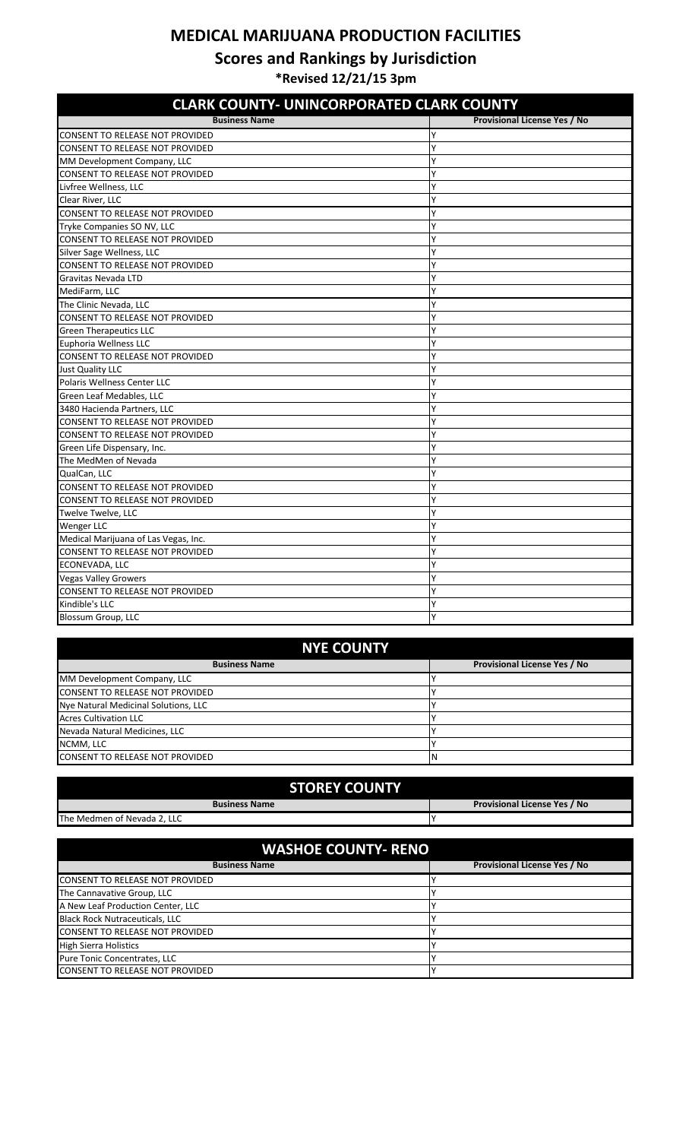## **MEDICAL MARIJUANA PRODUCTION FACILITIES**

**Scores and Rankings by Jurisdiction**

**\*Revised 12/21/15 3pm**

| <b>CLARK COUNTY- UNINCORPORATED CLARK COUNTY</b> |                                     |
|--------------------------------------------------|-------------------------------------|
| <b>Business Name</b>                             | <b>Provisional License Yes / No</b> |
| <b>CONSENT TO RELEASE NOT PROVIDED</b>           | γ                                   |
| <b>CONSENT TO RELEASE NOT PROVIDED</b>           |                                     |
| MM Development Company, LLC                      | γ                                   |
| CONSENT TO RELEASE NOT PROVIDED                  | γ                                   |
| Livfree Wellness, LLC                            | Υ                                   |
| Clear River, LLC                                 | Υ                                   |
| <b>CONSENT TO RELEASE NOT PROVIDED</b>           | γ                                   |
| Tryke Companies SO NV, LLC                       | γ                                   |
| <b>CONSENT TO RELEASE NOT PROVIDED</b>           | γ                                   |
| Silver Sage Wellness, LLC                        | γ                                   |
| CONSENT TO RELEASE NOT PROVIDED                  | Υ                                   |
| Gravitas Nevada LTD                              | ٧                                   |
| MediFarm, LLC                                    |                                     |
| The Clinic Nevada, LLC                           | γ                                   |
| <b>CONSENT TO RELEASE NOT PROVIDED</b>           | ٧                                   |
| <b>Green Therapeutics LLC</b>                    | ٧                                   |
| Euphoria Wellness LLC                            | ٧                                   |
| CONSENT TO RELEASE NOT PROVIDED                  | Υ                                   |
| Just Quality LLC                                 | Ý                                   |
| Polaris Wellness Center LLC                      | Υ                                   |
| Green Leaf Medables, LLC                         | ٧                                   |
| 3480 Hacienda Partners, LLC                      | γ                                   |
| <b>CONSENT TO RELEASE NOT PROVIDED</b>           | γ                                   |
| <b>CONSENT TO RELEASE NOT PROVIDED</b>           | γ                                   |
| Green Life Dispensary, Inc.                      | γ                                   |
| The MedMen of Nevada                             | ٧                                   |
| QualCan, LLC                                     | γ                                   |
| CONSENT TO RELEASE NOT PROVIDED                  | ٧                                   |
| <b>CONSENT TO RELEASE NOT PROVIDED</b>           | γ                                   |
| Twelve Twelve, LLC                               | γ                                   |
| <b>Wenger LLC</b>                                | γ                                   |
| Medical Marijuana of Las Vegas, Inc.             | ٧                                   |
| CONSENT TO RELEASE NOT PROVIDED                  | Υ                                   |
| ECONEVADA, LLC                                   | Υ                                   |
| <b>Vegas Valley Growers</b>                      | γ                                   |
| <b>CONSENT TO RELEASE NOT PROVIDED</b>           | γ                                   |
| Kindible's LLC                                   | Υ                                   |
| <b>Blossum Group, LLC</b>                        | Υ                                   |

| <b>NYE COUNTY</b>                      |                              |  |
|----------------------------------------|------------------------------|--|
| <b>Business Name</b>                   | Provisional License Yes / No |  |
| MM Development Company, LLC            |                              |  |
| <b>CONSENT TO RELEASE NOT PROVIDED</b> |                              |  |
| Nye Natural Medicinal Solutions, LLC   |                              |  |
| <b>Acres Cultivation LLC</b>           |                              |  |
| Nevada Natural Medicines, LLC          |                              |  |
| NCMM, LLC                              |                              |  |
| <b>CONSENT TO RELEASE NOT PROVIDED</b> | N                            |  |

| <b>STOREY COUNTY</b>                   |                                     |  |
|----------------------------------------|-------------------------------------|--|
| <b>Business Name</b>                   | Provisional License Yes / No        |  |
| The Medmen of Nevada 2, LLC            |                                     |  |
| <b>WASHOE COUNTY- RENO</b>             |                                     |  |
| <b>Business Name</b>                   | <b>Provisional License Yes / No</b> |  |
| <b>CONSENT TO RELEASE NOT PROVIDED</b> |                                     |  |
| The Cannavative Group, LLC             |                                     |  |
| A New Leaf Production Center, LLC      |                                     |  |
| <b>Black Rock Nutraceuticals, LLC</b>  |                                     |  |
| <b>CONSENT TO RELEASE NOT PROVIDED</b> |                                     |  |
| <b>High Sierra Holistics</b>           |                                     |  |
| Pure Tonic Concentrates, LLC           |                                     |  |
| CONSENT TO RELEASE NOT PROVIDED        |                                     |  |